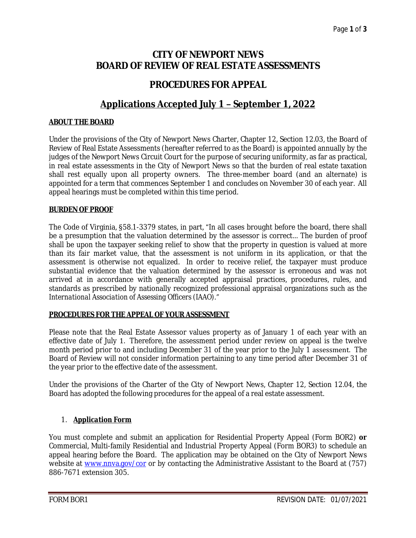# **CITY OF NEWPORT NEWS BOARD OF REVIEW OF REAL ESTATE ASSESSMENTS**

## **PROCEDURES FOR APPEAL**

# **Applications Accepted July 1 – September 1, 2022**

#### *ABOUT THE BOARD*

Under the provisions of the City of Newport News Charter, Chapter 12, Section 12.03, the Board of Review of Real Estate Assessments (hereafter referred to as the Board) is appointed annually by the judges of the Newport News Circuit Court for the purpose of securing uniformity, as far as practical, in real estate assessments in the City of Newport News so that the burden of real estate taxation shall rest equally upon all property owners. The three-member board (and an alternate) is appointed for a term that commences September 1 and concludes on November 30 of each year. All appeal hearings must be completed within this time period.

## *BURDEN OF PROOF*

The Code of Virginia, §58.1-3379 states, in part, "In all cases brought before the board, there shall be a presumption that the valuation determined by the assessor is correct… The burden of proof shall be upon the taxpayer seeking relief to show that the property in question is valued at more than its fair market value, that the assessment is not uniform in its application, or that the assessment is otherwise not equalized. In order to receive relief, the taxpayer must produce substantial evidence that the valuation determined by the assessor is erroneous and was not arrived at in accordance with generally accepted appraisal practices, procedures, rules, and standards as prescribed by nationally recognized professional appraisal organizations such as the *International Association of Assessing Officers (IAAO)."*

#### *PROCEDURES FOR THE APPEAL OF YOUR ASSESSMENT*

Please note that the Real Estate Assessor values property as of January 1 of each year with an effective date of July 1. Therefore, the assessment period under review on appeal is the twelve month period prior to and including December 31 of the year prior to the July 1 assessment. The Board of Review will not consider information pertaining to any time period after December 31 of the year prior to the effective date of the assessment.

Under the provisions of the Charter of the City of Newport News, Chapter 12, Section 12.04, the Board has adopted the following procedures for the appeal of a real estate assessment.

## 1. *Application Form*

You must complete and submit an application for Residential Property Appeal (Form BOR2) **or** Commercial, Multi-family Residential and Industrial Property Appeal (Form BOR3) to schedule an appeal hearing before the Board. The application may be obtained on the City of Newport News website at [www.nnva.gov/cor](http://www.nnva.gov/cor) or by contacting the Administrative Assistant to the Board at (757) 886-7671 extension 305.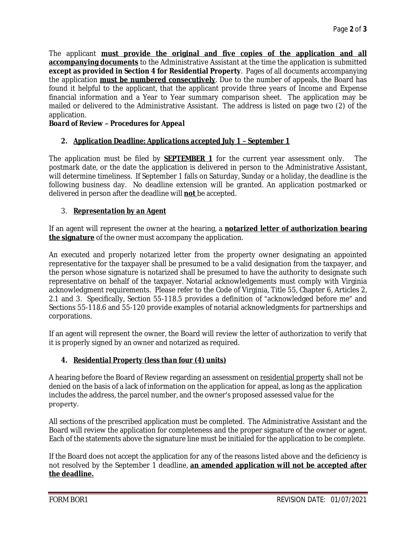The applicant **must provide the original and five copies of the application and all accompanying documents** to the Administrative Assistant at the time the application is submitted **except as provided in Section 4 for Residential Property**. Pages of all documents accompanying the application **must be numbered consecutively**. Due to the number of appeals, the Board has found it helpful to the applicant, that the applicant provide three years of Income and Expense financial information and a Year to Year summary comparison sheet. The application may be mailed or delivered to the Administrative Assistant. The address is listed on page two (2) of the application.

#### *Board of Review – Procedures for Appeal*

## *2. Application Deadline: Applications accepted July 1 – September 1*

The application must be filed by *SEPTEMBER 1* for the current year assessment only. The postmark date, or the date the application is delivered in person to the Administrative Assistant, will determine timeliness. If September 1 falls on Saturday, Sunday or a holiday, the deadline is the following business day. No deadline extension will be granted. An application postmarked or delivered in person after the deadline will **not** be accepted.

#### 3. *Representation by an Agent*

If an agent will represent the owner at the hearing, a **notarized letter of authorization bearing the signature** of the owner must accompany the application.

An executed and properly notarized letter from the property owner designating an appointed representative for the taxpayer shall be presumed to be a valid designation from the taxpayer, and the person whose signature is notarized shall be presumed to have the authority to designate such representative on behalf of the taxpayer. Notarial acknowledgements must comply with Virginia acknowledgment requirements. Please refer to the Code of Virginia, Title 55, Chapter 6, Articles 2, 2.1 and 3. Specifically, Section 55-118.5 provides a definition of "acknowledged before me" and Sections 55-118.6 and 55-120 provide examples of notarial acknowledgments for partnerships and corporations.

If an agent will represent the owner, the Board will review the letter of authorization to verify that it is properly signed by an owner and notarized as required.

#### *4. Residential Property (less than four (4) units)*

A hearing before the Board of Review regarding an assessment on residential property shall not be denied on the basis of a lack of information on the application for appeal, as long as the application includes the address, the parcel number, and the owner's proposed assessed value for the property.

All sections of the prescribed application must be completed. The Administrative Assistant and the Board will review the application for completeness and the proper signature of the owner or agent. Each of the statements above the signature line must be initialed for the application to be complete.

If the Board does not accept the application for any of the reasons listed above and the deficiency is not resolved by the September 1 deadline, **an amended application will not be accepted after the deadline.**